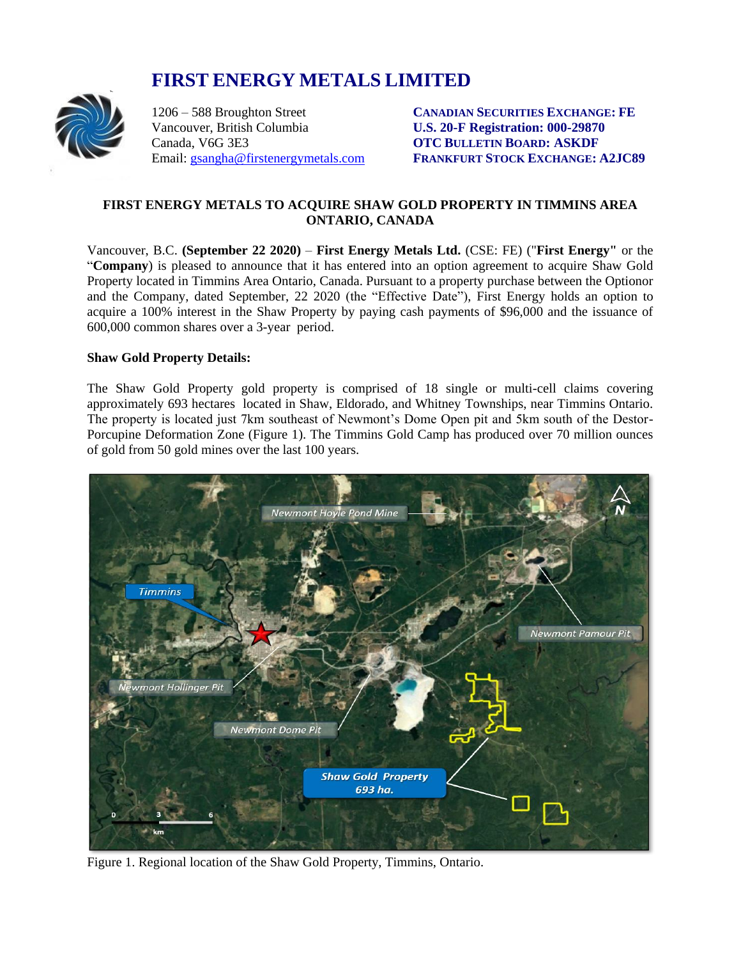# **FIRST ENERGY METALS LIMITED**



Vancouver, British Columbia **U.S. 20-F Registration: 000-29870** Canada, V6G 3E3 **OTC BULLETIN BOARD: ASKDF**

1206 – 588 Broughton Street **CANADIAN SECURITIES EXCHANGE: FE** Email: [gsangha@firstenergymetals.com](mailto:gsangha@firstenergymetals.com) **FRANKFURT STOCK EXCHANGE: A2JC89**

## **FIRST ENERGY METALS TO ACQUIRE SHAW GOLD PROPERTY IN TIMMINS AREA ONTARIO, CANADA**

Vancouver, B.C. **(September 22 2020)** – **First Energy Metals Ltd.** (CSE: FE) ("**First Energy"** or the "**Company**) is pleased to announce that it has entered into an option agreement to acquire Shaw Gold Property located in Timmins Area Ontario, Canada. Pursuant to a property purchase between the Optionor and the Company, dated September, 22 2020 (the "Effective Date"), First Energy holds an option to acquire a 100% interest in the Shaw Property by paying cash payments of \$96,000 and the issuance of 600,000 common shares over a 3-year period.

#### **Shaw Gold Property Details:**

The Shaw Gold Property gold property is comprised of 18 single or multi-cell claims covering approximately 693 hectares located in Shaw, Eldorado, and Whitney Townships, near Timmins Ontario. The property is located just 7km southeast of Newmont's Dome Open pit and 5km south of the Destor-Porcupine Deformation Zone (Figure 1). The Timmins Gold Camp has produced over 70 million ounces of gold from 50 gold mines over the last 100 years.



Figure 1. Regional location of the Shaw Gold Property, Timmins, Ontario.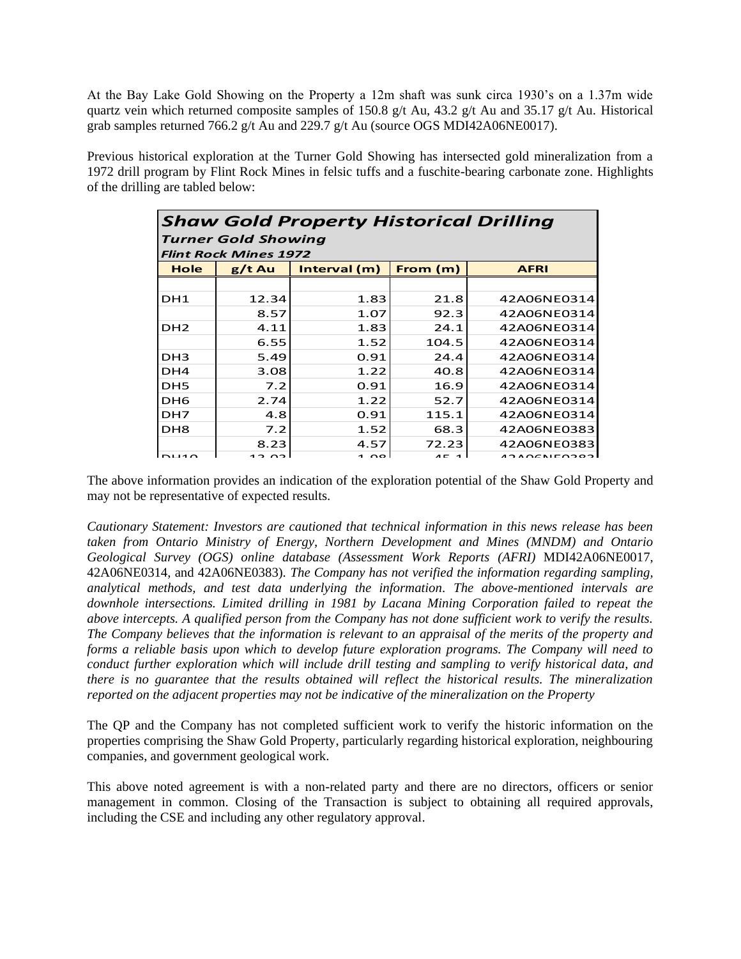At the Bay Lake Gold Showing on the Property a 12m shaft was sunk circa 1930's on a 1.37m wide quartz vein which returned composite samples of 150.8 g/t Au, 43.2 g/t Au and 35.17 g/t Au. Historical grab samples returned 766.2 g/t Au and 229.7 g/t Au (source OGS MDI42A06NE0017).

Previous historical exploration at the Turner Gold Showing has intersected gold mineralization from a 1972 drill program by Flint Rock Mines in felsic tuffs and a fuschite-bearing carbonate zone. Highlights of the drilling are tabled below:

| <b>Shaw Gold Property Historical Drilling</b><br><b>Turner Gold Showing</b><br><b>Flint Rock Mines 1972</b> |       |      |       |             |
|-------------------------------------------------------------------------------------------------------------|-------|------|-------|-------------|
|                                                                                                             |       |      |       |             |
|                                                                                                             |       |      |       |             |
| DH1                                                                                                         | 12.34 | 1.83 | 21.8  | 42A06NE0314 |
|                                                                                                             | 8.57  | 1.07 | 92.3  | 42A06NE0314 |
| DH <sub>2</sub>                                                                                             | 4.11  | 1.83 | 24.1  | 42A06NE0314 |
|                                                                                                             | 6.55  | 1.52 | 104.5 | 42A06NE0314 |
| DH <sub>3</sub>                                                                                             | 5.49  | 0.91 | 24.4  | 42A06NE0314 |
| DH4                                                                                                         | 3.08  | 1.22 | 40.8  | 42A06NE0314 |
| DH5                                                                                                         | 7.2   | 0.91 | 16.9  | 42A06NE0314 |
| DH6                                                                                                         | 2.74  | 1.22 | 52.7  | 42A06NE0314 |
| DH7                                                                                                         | 4.8   | 0.91 | 115.1 | 42A06NE0314 |
| DH <sub>8</sub>                                                                                             | 7.2   | 1.52 | 68.3  | 42A06NE0383 |
|                                                                                                             | 8.23  | 4.57 | 72.23 | 42A06NE0383 |
|                                                                                                             |       | 100  |       | 0.00100000  |

The above information provides an indication of the exploration potential of the Shaw Gold Property and may not be representative of expected results.

*Cautionary Statement: Investors are cautioned that technical information in this news release has been taken from Ontario Ministry of Energy, Northern Development and Mines (MNDM) and Ontario Geological Survey (OGS) online database (Assessment Work Reports (AFRI)* MDI42A06NE0017, 42A06NE0314, and 42A06NE0383)*. The Company has not verified the information regarding sampling, analytical methods, and test data underlying the information. The above-mentioned intervals are downhole intersections. Limited drilling in 1981 by Lacana Mining Corporation failed to repeat the above intercepts. A qualified person from the Company has not done sufficient work to verify the results. The Company believes that the information is relevant to an appraisal of the merits of the property and forms a reliable basis upon which to develop future exploration programs. The Company will need to conduct further exploration which will include drill testing and sampling to verify historical data, and there is no guarantee that the results obtained will reflect the historical results. The mineralization reported on the adjacent properties may not be indicative of the mineralization on the Property*

The QP and the Company has not completed sufficient work to verify the historic information on the properties comprising the Shaw Gold Property, particularly regarding historical exploration, neighbouring companies, and government geological work.

This above noted agreement is with a non-related party and there are no directors, officers or senior management in common. Closing of the Transaction is subject to obtaining all required approvals, including the CSE and including any other regulatory approval.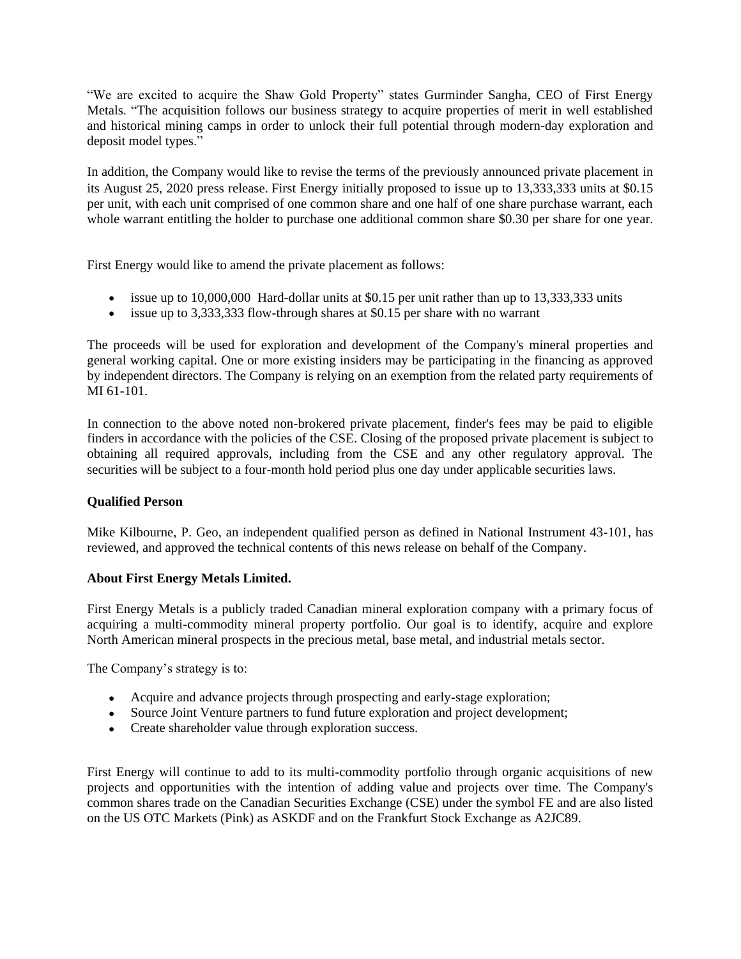"We are excited to acquire the Shaw Gold Property" states Gurminder Sangha, CEO of First Energy Metals. "The acquisition follows our business strategy to acquire properties of merit in well established and historical mining camps in order to unlock their full potential through modern-day exploration and deposit model types."

In addition, the Company would like to revise the terms of the previously announced private placement in its August 25, 2020 press release. First Energy initially proposed to issue up to 13,333,333 units at \$0.15 per unit, with each unit comprised of one common share and one half of one share purchase warrant, each whole warrant entitling the holder to purchase one additional common share \$0.30 per share for one year.

First Energy would like to amend the private placement as follows:

- issue up to 10,000,000 Hard-dollar units at \$0.15 per unit rather than up to 13,333,333 units
- issue up to 3,333,333 flow-through shares at \$0.15 per share with no warrant

The proceeds will be used for exploration and development of the Company's mineral properties and general working capital. One or more existing insiders may be participating in the financing as approved by independent directors. The Company is relying on an exemption from the related party requirements of MI 61-101.

In connection to the above noted non-brokered private placement, finder's fees may be paid to eligible finders in accordance with the policies of the CSE. Closing of the proposed private placement is subject to obtaining all required approvals, including from the CSE and any other regulatory approval. The securities will be subject to a four-month hold period plus one day under applicable securities laws.

### **Qualified Person**

Mike Kilbourne, P. Geo, an independent qualified person as defined in National Instrument 43-101, has reviewed, and approved the technical contents of this news release on behalf of the Company.

### **About First Energy Metals Limited.**

First Energy Metals is a publicly traded Canadian mineral exploration company with a primary focus of acquiring a multi-commodity mineral property portfolio. Our goal is to identify, acquire and explore North American mineral prospects in the precious metal, base metal, and industrial metals sector.

The Company's strategy is to:

- Acquire and advance projects through prospecting and early-stage exploration;
- Source Joint Venture partners to fund future exploration and project development;
- Create shareholder value through exploration success.

First Energy will continue to add to its multi-commodity portfolio through organic acquisitions of new projects and opportunities with the intention of adding value and projects over time. The Company's common shares trade on the Canadian Securities Exchange (CSE) under the symbol FE and are also listed on the US OTC Markets (Pink) as ASKDF and on the Frankfurt Stock Exchange as A2JC89.